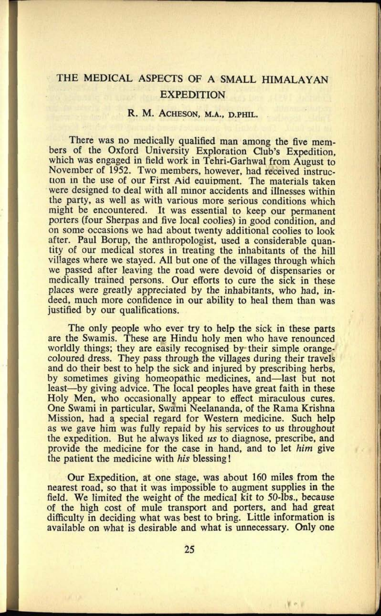## THE MEDICAL ASPECTS OF A SMALL HIMALAYAN EXPEDITION

## R. M. ACHESON, **M.A., D.PHIL.**

There was no medically qualified man among the five members of the Oxford University Exploration Club's Expedition, which was engaged in field work in Tehri-Garhwal from August to November of 1952. Two members, however, had received instruction in the use of our First Aid eauipment. The materials taken were designed to deal with all minor accidents and illnesses within the party, as well as with various more serious conditions which might be encountered. It was essential to keep our permanent porters (four Sherpas and five local coolies) in good condition, and on some occasions we had about twenty additional coolies to look after. Paul Borup, the anthropologist, used a considerable quantity of our medical stores in treating the inhabitants of the hill villages where we stayed. All but one of the villages through which we passed after leaving the road were devoid of dispensaries or medically trained persons. Our efforts to cure the sick in these places were greatly appreciated by the inhabitants, who had, indeed, much more confidence in our ability to heal them than was justified by our qualifications.

The only people who ever try to help the sick in these parts are the Swamis. These are Hindu holy men who have renounced worldly things; they are easily recognised by their simple orangecoloured dress. They pass through the villages during their travels and do their best to help the sick and injured by prescribing herbs, by sometimes giving homeopathic medicines, and—last but not least—by giving advice. The local peoples have great faith in these Holy Men, who occasionally appear to effect miraculous cures. One Swami in particular, Swami Neelananda, of the Rama Krishna Mission, had a special regard for Western medicine. Such help as we gave him was fully repaid by his services to us throughout the expedition. But he always liked *us* to diagnose, prescribe, and provide the medicine for the case in hand, and to let *him* give the patient the medicine with *his* blessing!

Our Expedition, at one stage, was about 160 miles from the nearest road, so that it was impossible to augment supplies in the field. We limited the weight of the medical kit to 50-lbs., because of the high cost of mule transport and porters, and had grea<sup>t</sup> difficulty in deciding what was best to bring. Little information is available on what is desirable and what is unnecessary. Only one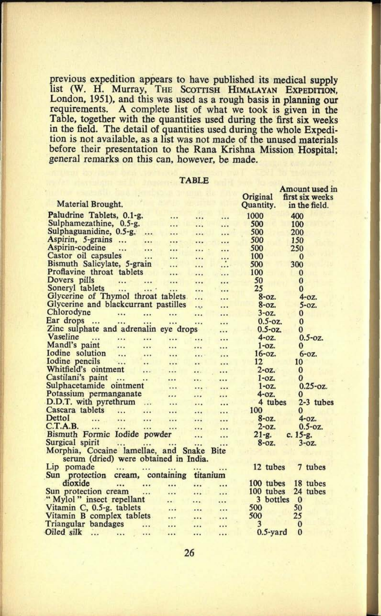previous expedition appears to have published its medical supply list (W. H. Murray, THE SCOTTISH HIMALAYAN EXPEDITION, London, 1951), and this was used as a rough basis in planning our requirements. A complete list of what we took is given in the Table, together with the quantities used during the first six weeks in the field. The detail of quantities used during the whole Expedition is not available, as a list was not made of the unused materials before their presentation to the Rana Krishna Mission Hospital; general remarks on this can, however, be made.

|                                                            |               |              |              | Amount used in  |  |
|------------------------------------------------------------|---------------|--------------|--------------|-----------------|--|
|                                                            |               |              | Original     | first six weeks |  |
| Material Brought.                                          |               |              | Quantity.    | in the field.   |  |
| Paludrine Tablets, 0.1-g.<br>                              |               |              | 1000         | 400             |  |
| Sulphamezathine, 0.5-g.<br>                                |               |              | 500          | 100             |  |
| Sulphaguanidine, 0.5-g.<br><br>                            | $\cdot \cdot$ |              | 500          | 200             |  |
| Aspirin, 5-grains<br><br>                                  |               |              | 500          | 150             |  |
| Aspirin-codeine<br>$\cdots$<br><br>                        | .             | .            | 500          | 250             |  |
| Castor oil capsules<br><br>                                |               |              | 100          | $\bf{0}$        |  |
| Bismuth Salicylate, 5-grain<br>$\ddotsc$                   | .             |              | 500          | 300             |  |
| Proflavine throat tablets<br>                              |               |              | 100          | $\bf{0}$        |  |
| Dovers pills<br><br><br>                                   | .             | $\cdot$ .    | 50           | $\bf{0}$        |  |
| Soneryl tablets<br>.<br><br>.                              |               |              | 25           | $\bf{0}$        |  |
| Glycerine of Thymol throat tablets                         | .             |              | $8-0z$ .     | $4 - 0Z$ .      |  |
| Glycerine and blackcurrant pastilles                       | $rac{1}{2}$   |              | $8-0z$ .     | $5-0z$ .        |  |
| Chlorodyne<br><br>$\cdots$<br>$\cdots$                     |               |              | $3-0z$ .     | $\bf{0}$        |  |
| Ear drops<br>$\dddot{\phantom{0}}$<br><br><br>             | $\ddotsc$     | .            | $0.5 - 0z$ . | $\bf{0}$        |  |
| Zinc sulphate and adrenalin eye drops                      |               | .            | $0.5 - 0z$ . | 0               |  |
| Vaseline<br>.<br><br><br>                                  |               |              | $4 - oz.$    | $0.5 - oz.$     |  |
| Mandl's paint<br><br>.<br>$\dddotsc$                       | $\ddotsc$     |              | $1-oz.$      | 0               |  |
| Iodine solution<br>$\dddot{\phantom{0}}$<br><br>$\ddotsc$  |               |              | $16 - 0z$ .  | $6-0z$          |  |
| Iodine pencils<br>$\dddotsc$<br><br>                       |               |              | 12           | 10              |  |
| Whitfield's ointment<br>.<br>$\cdots$                      |               |              | $2$ -oz.     | $\bf{0}$        |  |
| Castilani's paint<br>$\dddot{\phantom{0}}$<br><br>$\cdots$ | $\cdots$      |              | $1 - oz.$    | $\bf{0}$        |  |
| Sulphacetamide ointment<br>                                |               | .            | $1-0z$ .     | $0.25 - 0z$     |  |
| Potassium permanganate<br>                                 |               |              | $4 - 0Z$ .   | 0               |  |
| D.D.T. with pyrethrum<br>.<br>$\cdots$                     |               |              | 4 tubes      | 2-3 tubes       |  |
| Cascara tablets<br>.<br><br>                               | $\cdots$      |              | 100          | 0               |  |
| <b>Dettol</b><br><br><br><br>                              |               | $\cdots$     | $8-0z$ .     | $4-0Z$          |  |
| C.T.A.B.<br><br><br>                                       | $\cdots$      | .            | $2$ -oz.     | $0.5 - 0z$ .    |  |
| Bismuth Formic Iodide powder                               |               |              | $21 - g.$    | $c. 15-g.$      |  |
| Surgical spirit                                            | $\cdots$      | $\cdots$     | $8-0z$ .     | $3 - 0Z$ .      |  |
| Morphia, Cocaine lamellae, and Snake                       |               | <b>B</b> ite |              |                 |  |
| serum (dried) were obtained in India.                      |               |              |              |                 |  |
| Lip pomade<br><br>                                         |               |              | 12 tubes     | 7 tubes         |  |
| <b>Sun</b><br>protection<br>cream, containing              | titanium      |              |              |                 |  |
| dioxide<br><br>$\ddotsc$<br>$\ddotsc$                      |               |              | 100 tubes    | 18 tubes        |  |
| Sun protection cream<br><br>                               |               |              | 100 tubes    | 24 tubes        |  |
| "Mylol" insect repellant<br>$\cdot$ .                      |               |              | 3<br>bottles | $\bf{0}$        |  |
| Vitamin C, 0.5-g. tablets<br>$\cdots$                      | $\cdots$      | $\cdots$     | 500          | 50              |  |
| Vitamin B complex tablets<br>$\cdots$                      | $\ddotsc$     | $\cdots$     | 500          | 25              |  |
| Triangular bandages<br>.<br>                               |               |              | 3            | $\bf{0}$        |  |
| Oiled silk<br><br><br><br>                                 |               | .            | $0.5$ -yard  | $\bf{0}$        |  |
|                                                            |               |              |              |                 |  |

TABLE

26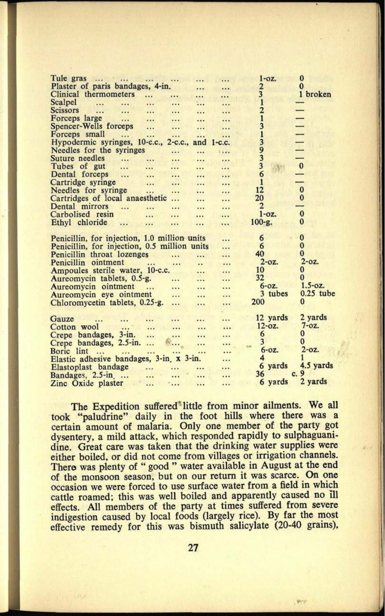| Tule gras<br>$\cdots$<br>                    |                     |          |                   | $1 - oz.$               | $\bf{0}$                 |
|----------------------------------------------|---------------------|----------|-------------------|-------------------------|--------------------------|
| Plaster of paris bandages, 4-in.             |                     |          |                   | 2                       | 0                        |
| Clinical thermometers<br>$\cdots$            | $\cdots$            |          |                   | $\overline{\mathbf{3}}$ | 1 broken                 |
| Scalpel<br><br>$\cdots$<br>$\dddotsc$        | .                   |          | $\cdots$          | $\overline{1}$          |                          |
| <b>Scissors</b><br><br>$\cdots$<br>$\cdots$  |                     |          |                   | $\overline{2}$          |                          |
| Forceps large<br>$\dddotsc$<br>              |                     |          |                   | 1                       |                          |
| Spencer-Wells forceps<br>                    |                     |          |                   | 3                       | $\overline{\phantom{0}}$ |
| Forceps small<br><br>                        |                     |          |                   | 1                       |                          |
| Hypodermic syringes, 10-c.c., 2-c.c.,        |                     | and      | $1-c.c.$          | 3                       |                          |
| Needles for the syringes                     |                     |          | $\cdots$          | 9                       |                          |
| Suture needles<br><br>                       | $\cdots$            |          | $\cdots$          | 3                       |                          |
| Tubes of gut<br><br>$\cdots$                 | $\cdots$            |          | $\cdots$          | 3                       | $\mathbf{0}$             |
| Dental forceps<br>$\ddotsc$<br>$\cdots$      | $\cdots$            |          |                   | 6                       |                          |
| Cartridge syringe<br>$\dddotsc$              |                     | $\cdots$ |                   | $\mathbf{1}$            |                          |
| Needles for syringe<br>                      | .                   | $\cdots$ |                   | 12                      | $\bf{0}$                 |
| Cartridges of local anaesthetic              | .                   | .        |                   | 20                      | $\bf{0}$                 |
| Dental mirrors<br>.<br>                      |                     |          |                   | 2                       |                          |
| Carbolised resin<br>                         |                     |          |                   | $1 - oz.$               | $\bf{0}$                 |
| Ethyl chloride<br><br>                       |                     |          | $\dddot{\bullet}$ | $100 - g.$              | 0                        |
|                                              |                     |          |                   |                         |                          |
| Penicillin, for injection, 1.0 million units |                     |          |                   | 6                       | $\bf{0}$                 |
| Penicillin, for injection, 0.5 million units |                     |          |                   | 6                       | $\bf{0}$                 |
| Penicillin throat lozenges                   | .                   | .        | $\cdots$          | 40                      | $\bf{0}$                 |
| Penicillin ointment<br>                      | $\cdots$            |          | $\ddot{\bullet}$  | $2$ -oz.                | $2 - 0z$ .               |
| Ampoules sterile water, 10-c.c.              |                     |          |                   | 10                      | $\bf{0}$                 |
| Aureomycin tablets, 0.5-g.                   |                     |          | .                 | 32                      | $\Omega$                 |
| Aureomycin ointment                          | $\cdots$            |          | .                 | $6 - 0Z$ .              | $1.5 - oz.$              |
| <br>Aureomycin eye ointment                  |                     |          |                   | 3 tubes                 | $0.25$ tube              |
| Chloromycetin tablets, 0.25-g.               | .                   | .        |                   | 200                     | $\bf{0}$                 |
|                                              |                     | .        |                   |                         |                          |
| Gauze                                        |                     |          |                   | 12 yards                | 2 vards                  |
|                                              | .                   |          | $\cdots$          | $12 - 0z$ .             | $7 - oz.$                |
| Cotton wool<br>                              |                     |          |                   | 6                       | $\bf{0}$                 |
| Crepe bandages, 3-in.<br>                    |                     |          |                   | $\overline{3}$          | $\mathbf{0}$             |
| Crepe bandages, 2.5-in.<br>                  |                     |          |                   | $6-0z$ .                | $2$ -oz.                 |
| Boric lint<br><br><br>$\cdots$               | $\cdot \cdot \cdot$ |          |                   | $\overline{4}$          | ı                        |
| Elastic adhesive bandages, 3-in. x 3-in.     |                     |          |                   |                         | 4.5 yards                |
| Elastoplast bandage<br>                      |                     |          |                   | 6 yards<br>36           | 9                        |
| Bandages, 2.5-in.<br>                        |                     |          |                   | c.                      |                          |
| Zinc Oxide plaster<br>                       | $\dddotsc$          |          |                   | 6 yards                 | 2 yards                  |

The Expedition suffered little from minor ailments. We all took "paludrine" daily in the foot hills where there was <sup>a</sup> certain amount of malaria. Only one member of the party go<sup>t</sup> dysentery, a mild attack, which responded rapidly to sulphaguanidine. Great care was taken that the drinking water supplies were either boiled, or did not come from villages or irrigation channels. There was plenty of " good " water available in August at the end of the monsoon season, but on our return it was scarce. On one occasion we were forced to use surface water from a field in which cattle roamed; this was well boiled and apparently caused no ill effects. All members of the party at times suffered from severe indigestion caused by local foods (largely rice). By far the most effective remedy for this was bismuth salicylate (20-40 grains),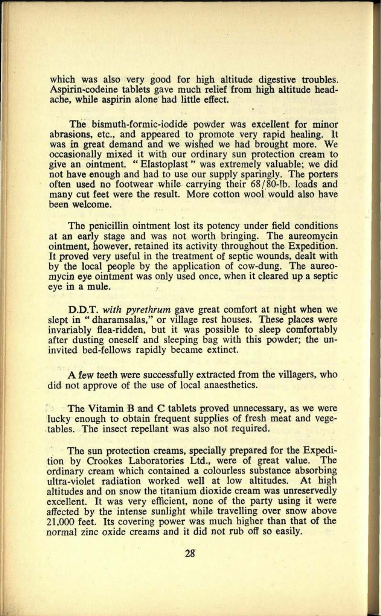which was also very good for high altitude digestive troubles. Aspirin-codeine tablets gave much relief from high altitude headache, while aspirin alone had little effect.

The bismuth-formic-iodide powder was excellent for minor abrasions, etc., and appeared to promote very rapid healing. It was in great demand and we wished we had brought more. We occasionally mixed it with our ordinary sun protection cream to give an ointment. " Elastoplast " was extremely valuable; we did not have enough and had to use our supply sparingly. The porters often used no footwear while carrying their 68/80-lb. loads and many cut feet were the result. More cotton wool would also have been welcome.

The penicillin ointment lost its potency under field conditions at an early stage and was not worth bringing. The aureomycin ointment, however, retained its activity throughout the Expedition. It proved very useful in the treatment of septic wounds, dealt with by the local people by the application of cow-dung. The aureomycin eye ointment was only used once, when it cleared up a septic eye in a mule.

D.D.T. *with pyrethrum* gave great comfort at night when we slept in " dharamsalas," or village rest houses. These places were invariably flea-ridden, but it was possible to sleep comfortably after dusting oneself and sleeping bag with this powder; the uninvited bed-fellows rapidly became extinct.

A few teeth were successfully extracted from the villagers, who did not approve of the use of local anaesthetics.

The Vitamin B and C tablets proved unnecessary, as we were lucky enough to obtain frequent supplies of fresh meat and vegetables. The insect repellant was also not required.

The sun protection creams, specially prepared for the Expedition by Crookes Laboratories Ltd., were of great value. The ordinary cream which contained a colourless substance absorbing ultra-violet radiation worked well at low altitudes. altitudes and on snow the titanium dioxide cream was unreservedly excellent. It was very efficient, none of the party using it were affected by the intense sunlight while travelling over snow above 21,000 feet. Its covering power was much higher than that of the normal zinc oxide creams and it did not rub off so easily.